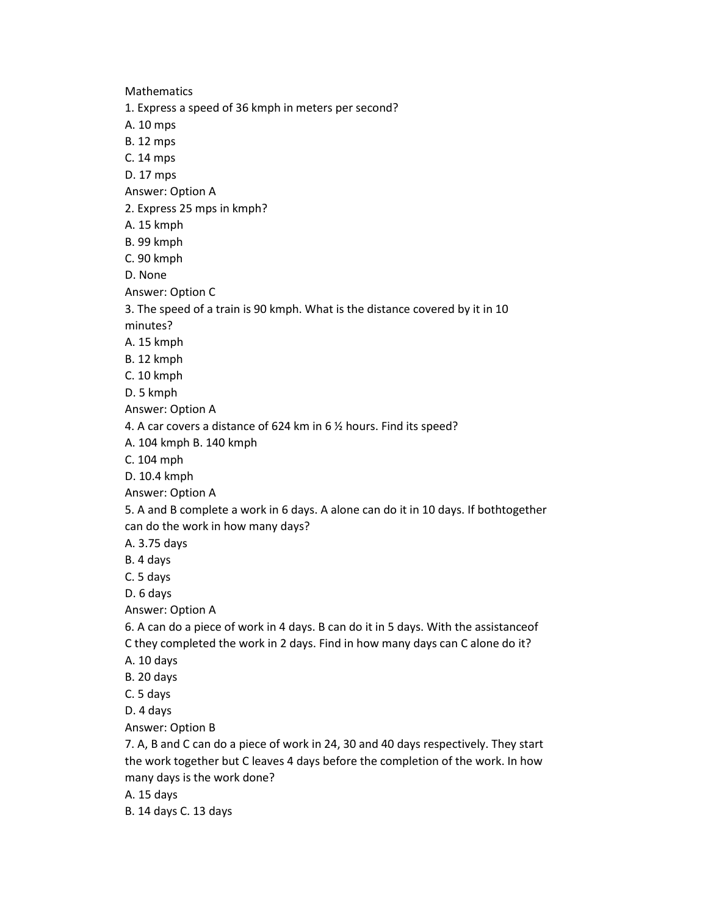**Mathematics** 1. Express a speed of 36 kmph in meters per second? A. 10 mps B. 12 mps C. 14 mps D. 17 mps Answer: Option A 2. Express 25 mps in kmph? A. 15 kmph B. 99 kmph C. 90 kmph D. None Answer: Option C 3. The speed of a train is 90 kmph. What is the distance covered by it in 10 minutes? A. 15 kmph B. 12 kmph C. 10 kmph D. 5 kmph Answer: Option A 4. A car covers a distance of 624 km in 6 ½ hours. Find its speed? A. 104 kmph B. 140 kmph C. 104 mph D. 10.4 kmph Answer: Option A 5. A and B complete a work in 6 days. A alone can do it in 10 days. If bothtogether can do the work in how many days? A. 3.75 days B. 4 days C. 5 days D. 6 days Answer: Option A 6. A can do a piece of work in 4 days. B can do it in 5 days. With the assistanceof C they completed the work in 2 days. Find in how many days can C alone do it? A. 10 days B. 20 days C. 5 days D. 4 days Answer: Option B 7. A, B and C can do a piece of work in 24, 30 and 40 days respectively. They start the work together but C leaves 4 days before the completion of the work. In how many days is the work done?

- A. 15 days
- B. 14 days C. 13 days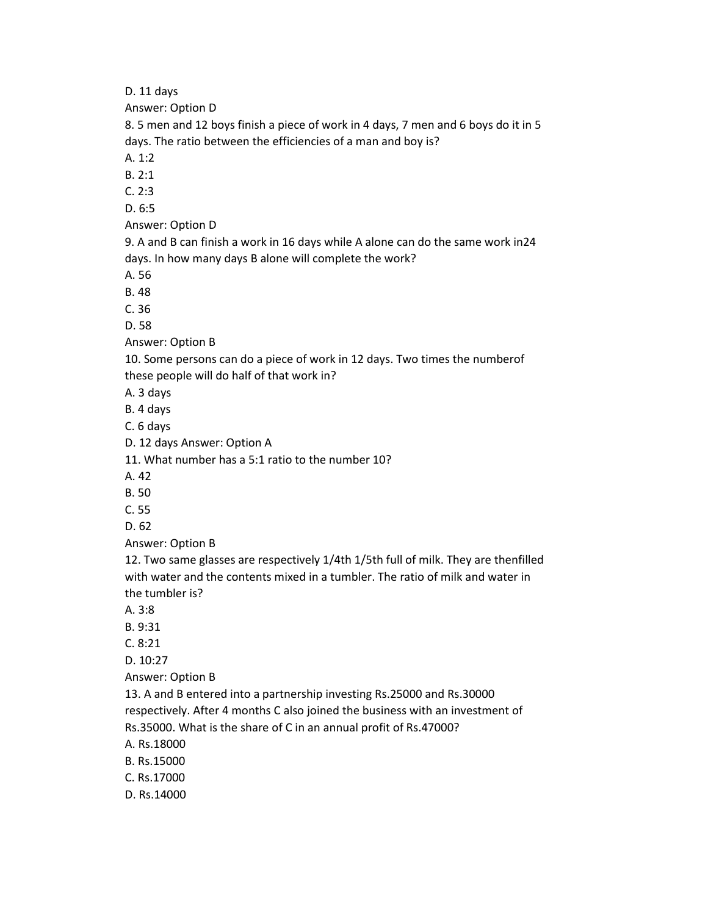D. 11 days

Answer: Option D

8. 5 men and 12 boys finish a piece of work in 4 days, 7 men and 6 boys do it in 5 days. The ratio between the efficiencies of a man and boy is?

A. 1:2

B. 2:1

C. 2:3

D. 6:5

Answer: Option D

9. A and B can finish a work in 16 days while A alone can do the same work in24 days. In how many days B alone will complete the work?

A. 56

B. 48

C. 36

D. 58

Answer: Option B

10. Some persons can do a piece of work in 12 days. Two times the numberof these people will do half of that work in?

A. 3 days

B. 4 days

C. 6 days

D. 12 days Answer: Option A

11. What number has a 5:1 ratio to the number 10?

A. 42

B. 50

C. 55

D. 62

Answer: Option B

12. Two same glasses are respectively 1/4th 1/5th full of milk. They are thenfilled with water and the contents mixed in a tumbler. The ratio of milk and water in the tumbler is?

A. 3:8

B. 9:31

C. 8:21

D. 10:27

Answer: Option B

13. A and B entered into a partnership investing Rs.25000 and Rs.30000 respectively. After 4 months C also joined the business with an investment of Rs.35000. What is the share of C in an annual profit of Rs.47000?

A. Rs.18000

B. Rs.15000

C. Rs.17000

D. Rs.14000